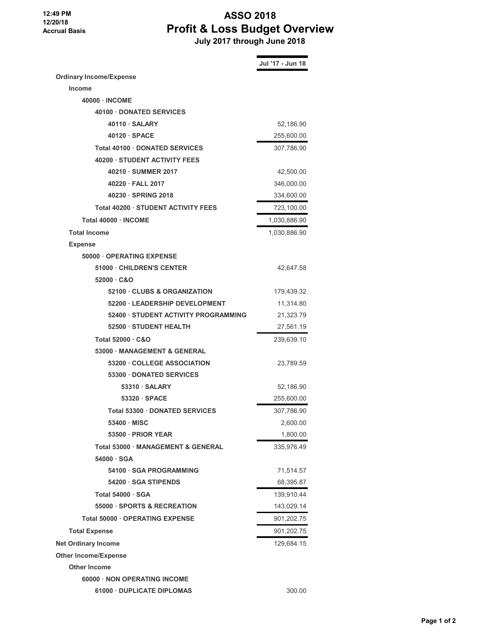**12:49 PM 12/20/18 Accrual Basis**

## **ASSO 2018 Profit & Loss Budget Overview July 2017 through June 2018**

|                                            | Jul '17 - Jun 18 |
|--------------------------------------------|------------------|
| <b>Ordinary Income/Expense</b>             |                  |
| <b>Income</b>                              |                  |
| 40000 NCOME                                |                  |
| 40100 DONATED SERVICES                     |                  |
| 40110 · SALARY                             | 52,186.90        |
| $40120 \cdot SPACE$                        | 255,600.00       |
| <b>Total 40100 DONATED SERVICES</b>        | 307,786.90       |
| 40200 · STUDENT ACTIVITY FEES              |                  |
| 40210 · SUMMER 2017                        | 42,500.00        |
| 40220 · FALL 2017                          | 346,000.00       |
| 40230 · SPRING 2018                        | 334,600.00       |
| <b>Total 40200 · STUDENT ACTIVITY FEES</b> | 723,100.00       |
| Total 40000 · INCOME                       | 1,030,886.90     |
| <b>Total Income</b>                        | 1,030,886.90     |
| <b>Expense</b>                             |                  |
| 50000 OPERATING EXPENSE                    |                  |
| 51000 CHILDREN'S CENTER                    | 42.647.58        |
| $52000 \cdot C&O$                          |                  |
| 52100 · CLUBS & ORGANIZATION               | 179,439.32       |
| 52200 LEADERSHIP DEVELOPMENT               | 11,314.80        |
| 52400 STUDENT ACTIVITY PROGRAMMING         | 21,323.79        |
| 52500 · STUDENT HEALTH                     | 27,561.19        |
| Total 52000 C&O                            | 239,639.10       |
| 53000 MANAGEMENT & GENERAL                 |                  |
| 53200 COLLEGE ASSOCIATION                  | 23,789.59        |
| <b>53300 DONATED SERVICES</b>              |                  |
| $53310 \cdot \text{SALARY}$                | 52,186.90        |
| $53320 \cdot SPACE$                        | 255,600.00       |
| <b>Total 53300 DONATED SERVICES</b>        | 307,786.90       |
| 53400 · MISC                               | 2,600.00         |
| 53500 · PRIOR YEAR                         | 1,800.00         |
| Total 53000 MANAGEMENT & GENERAL           | 335,976.49       |
| 54000 · SGA                                |                  |
| 54100 SGA PROGRAMMING                      | 71,514.57        |
| 54200 · SGA STIPENDS                       | 68,395.87        |
| <b>Total 54000 · SGA</b>                   | 139,910.44       |
| <b>55000 · SPORTS &amp; RECREATION</b>     | 143,029.14       |
| Total 50000 · OPERATING EXPENSE            | 901,202.75       |
| <b>Total Expense</b>                       | 901,202.75       |
| <b>Net Ordinary Income</b>                 | 129,684.15       |
| <b>Other Income/Expense</b>                |                  |
| <b>Other Income</b>                        |                  |
| 60000 NON OPERATING INCOME                 |                  |
| 61000 · DUPLICATE DIPLOMAS                 | 300.00           |